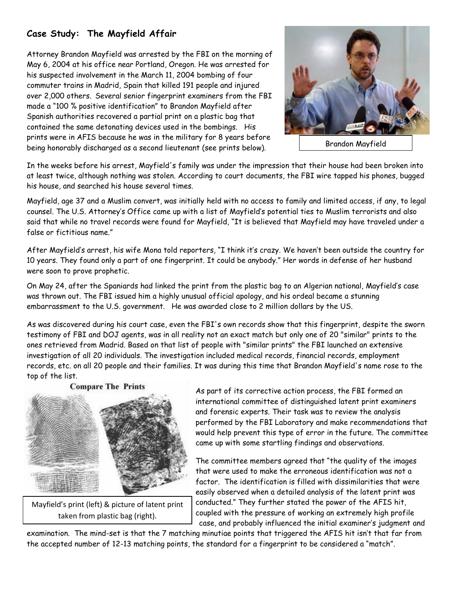## **Case Study: The Mayfield Affair**

Attorney Brandon Mayfield was arrested by the FBI on the morning of May 6, 2004 at his office near Portland, Oregon. He was arrested for his suspected involvement in the March 11, 2004 bombing of four commuter trains in Madrid, Spain that killed 191 people and injured over 2,000 others. Several senior fingerprint examiners from the FBI made a "100 % positive identification" to Brandon Mayfield after Spanish authorities recovered a partial print on a plastic bag that contained the same detonating devices used in the bombings. His prints were in AFIS because he was in the military for 8 years before being honorably discharged as a second lieutenant (see prints below).



Brandon Mayfield

In the weeks before his arrest, Mayfield's family was under the impression that their house had been broken into at least twice, although nothing was stolen. According to court documents, the FBI wire tapped his phones, bugged his house, and searched his house several times.

Mayfield, age 37 and a Muslim convert, was initially held with no access to family and limited access, if any, to legal counsel. The U.S. Attorney's Office came up with a list of Mayfield's potential ties to Muslim terrorists and also said that while no travel records were found for Mayfield, "It is believed that Mayfield may have traveled under a false or fictitious name."

After Mayfield's arrest, his wife Mona told reporters, "I think it's crazy. We haven't been outside the country for 10 years. They found only a part of one fingerprint. It could be anybody." Her words in defense of her husband were soon to prove prophetic.

On May 24, after the Spaniards had linked the print from the plastic bag to an Algerian national, Mayfield's case was thrown out. The FBI issued him a highly unusual official apology, and his ordeal became a stunning embarrassment to the U.S. government. He was awarded close to 2 million dollars by the US.

As was discovered during his court case, even the FBI's own records show that this fingerprint, despite the sworn testimony of FBI and DOJ agents, was in all reality not an exact match but only one of 20 "similar" prints to the ones retrieved from Madrid. Based on that list of people with "similar prints" the FBI launched an extensive investigation of all 20 individuals. The investigation included medical records, financial records, employment records, etc. on all 20 people and their families. It was during this time that Brandon Mayfield's name rose to the top of the list.

## **Compare The Prints**



Mayfield's print (left) & picture of latent print taken from plastic bag (right).

As part of its corrective action process, the FBI formed an international committee of distinguished latent print examiners and forensic experts. Their task was to review the analysis performed by the FBI Laboratory and make recommendations that would help prevent this type of error in the future. The committee came up with some startling findings and observations.

The committee members agreed that "the quality of the images that were used to make the erroneous identification was not a factor. The identification is filled with dissimilarities that were easily observed when a detailed analysis of the latent print was conducted." They further stated the power of the AFIS hit, coupled with the pressure of working an extremely high profile case, and probably influenced the initial examiner's judgment and

examination. The mind-set is that the 7 matching minutiae points that triggered the AFIS hit isn't that far from the accepted number of 12-13 matching points, the standard for a fingerprint to be considered a "match".